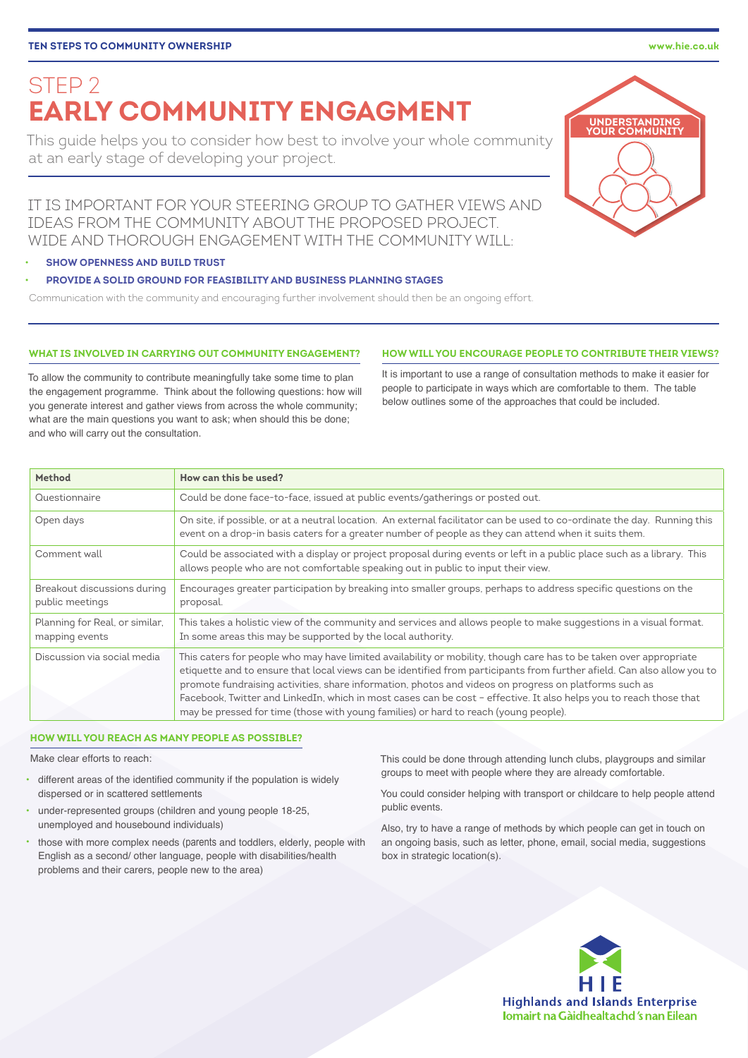IT IS IMPORTANT FOR YOUR STEERING GROUP TO GATHER VIEWS AND IDEAS FROM THE COMMUNITY ABOUT THE PROPOSED PROJECT. WIDE AND THOROUGH ENGAGEMENT WITH THE COMMUNITY WILL:

# • **SHOW OPENNESS AND BUILD TRUST**

## • **PROVIDE A SOLID GROUND FOR FEASIBILITY AND BUSINESS PLANNING STAGES**

Communication with the community and encouraging further involvement should then be an ongoing effort.

## **WHAT IS INVOLVED IN CARRYING OUT COMMUNITY ENGAGEMENT?**

To allow the community to contribute meaningfully take some time to plan the engagement programme. Think about the following questions: how will you generate interest and gather views from across the whole community; what are the main questions you want to ask; when should this be done; and who will carry out the consultation.

It is important to use a range of consultation methods to make it easier for people to participate in ways which are comfortable to them. The table below outlines some of the approaches that could be included.

**HOW WILL YOU ENCOURAGE PEOPLE TO CONTRIBUTE THEIR VIEWS?**

| Method                                           | How can this be used?                                                                                                                                                                                                                                                                                                                                                                                                                                                                                                                                                |
|--------------------------------------------------|----------------------------------------------------------------------------------------------------------------------------------------------------------------------------------------------------------------------------------------------------------------------------------------------------------------------------------------------------------------------------------------------------------------------------------------------------------------------------------------------------------------------------------------------------------------------|
| Questionnaire                                    | Could be done face-to-face, issued at public events/gatherings or posted out.                                                                                                                                                                                                                                                                                                                                                                                                                                                                                        |
| Open days                                        | On site, if possible, or at a neutral location. An external facilitator can be used to co-ordinate the day. Running this<br>event on a drop-in basis caters for a greater number of people as they can attend when it suits them.                                                                                                                                                                                                                                                                                                                                    |
| Comment wall                                     | Could be associated with a display or project proposal during events or left in a public place such as a library. This<br>allows people who are not comfortable speaking out in public to input their view.                                                                                                                                                                                                                                                                                                                                                          |
| Breakout discussions during<br>public meetings   | Encourages greater participation by breaking into smaller groups, perhaps to address specific questions on the<br>proposal.                                                                                                                                                                                                                                                                                                                                                                                                                                          |
| Planning for Real, or similar,<br>mapping events | This takes a holistic view of the community and services and allows people to make suggestions in a visual format.<br>In some areas this may be supported by the local authority.                                                                                                                                                                                                                                                                                                                                                                                    |
| Discussion via social media                      | This caters for people who may have limited availability or mobility, though care has to be taken over appropriate<br>etiquette and to ensure that local views can be identified from participants from further afield. Can also allow you to<br>promote fundraising activities, share information, photos and videos on progress on platforms such as<br>Facebook, Twitter and LinkedIn, which in most cases can be cost - effective. It also helps you to reach those that<br>may be pressed for time (those with young families) or hard to reach (young people). |

## **HOW WILL YOU REACH AS MANY PEOPLE AS POSSIBLE?**

Make clear efforts to reach:

- different areas of the identified community if the population is widely dispersed or in scattered settlements
- under-represented groups (children and young people 18-25, unemployed and housebound individuals)
- those with more complex needs (parents and toddlers, elderly, people with English as a second/ other language, people with disabilities/health problems and their carers, people new to the area)

This could be done through attending lunch clubs, playgroups and similar groups to meet with people where they are already comfortable.

You could consider helping with transport or childcare to help people attend public events.

Also, try to have a range of methods by which people can get in touch on an ongoing basis, such as letter, phone, email, social media, suggestions box in strategic location(s).





STEP 2